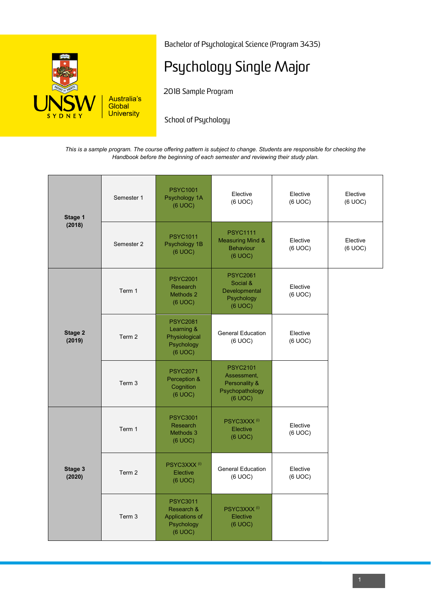

Bachelor of Psychological Science (Program 3435)

## Psychology Single Major

2018 Sample Program

School of Psychology

*This is a sample program. The course offering pattern is subject to change. Students are responsible for checking the Handbook before the beginning of each semester and reviewing their study plan.*

| Stage 1<br>(2018) | Semester 1 | <b>PSYC1001</b><br>Psychology 1A<br>(6 UOC)                               | Elective<br>(6 UOC)                                                           | Elective<br>(6 UOC) | Elective<br>(6 UOC) |
|-------------------|------------|---------------------------------------------------------------------------|-------------------------------------------------------------------------------|---------------------|---------------------|
|                   | Semester 2 | <b>PSYC1011</b><br>Psychology 1B<br>(6 UOC)                               | <b>PSYC1111</b><br><b>Measuring Mind &amp;</b><br><b>Behaviour</b><br>(6 UOC) | Elective<br>(6 UOC) | Elective<br>(6 UOC) |
| Stage 2<br>(2019) | Term 1     | <b>PSYC2001</b><br>Research<br>Methods 2<br>(6 UOC)                       | <b>PSYC2061</b><br>Social &<br>Developmental<br>Psychology<br>(6 UOC)         | Elective<br>(6 UOC) |                     |
|                   | Term 2     | <b>PSYC2081</b><br>Learning &<br>Physiological<br>Psychology<br>(6 UOC)   | <b>General Education</b><br>(6 UOC)                                           | Elective<br>(6 UOC) |                     |
|                   | Term 3     | <b>PSYC2071</b><br>Perception &<br>Cognition<br>(6 UOC)                   | <b>PSYC2101</b><br>Assessment,<br>Personality &<br>Psychopathology<br>(6 UOC) |                     |                     |
| Stage 3<br>(2020) | Term 1     | <b>PSYC3001</b><br>Research<br>Methods 3<br>(6 UOC)                       | PSYC3XXX <sup>(i)</sup><br>Elective<br>(6 UOC)                                | Elective<br>(6 UOC) |                     |
|                   | Term 2     | PSYC3XXX <sup>(i)</sup><br>Elective<br>(6 UOC)                            | <b>General Education</b><br>(6 UOC)                                           | Elective<br>(6 UOC) |                     |
|                   | Term 3     | <b>PSYC3011</b><br>Research &<br>Applications of<br>Psychology<br>(6 UOC) | PSYC3XXX <sup>(i)</sup><br>Elective<br>(6 UOC)                                |                     |                     |